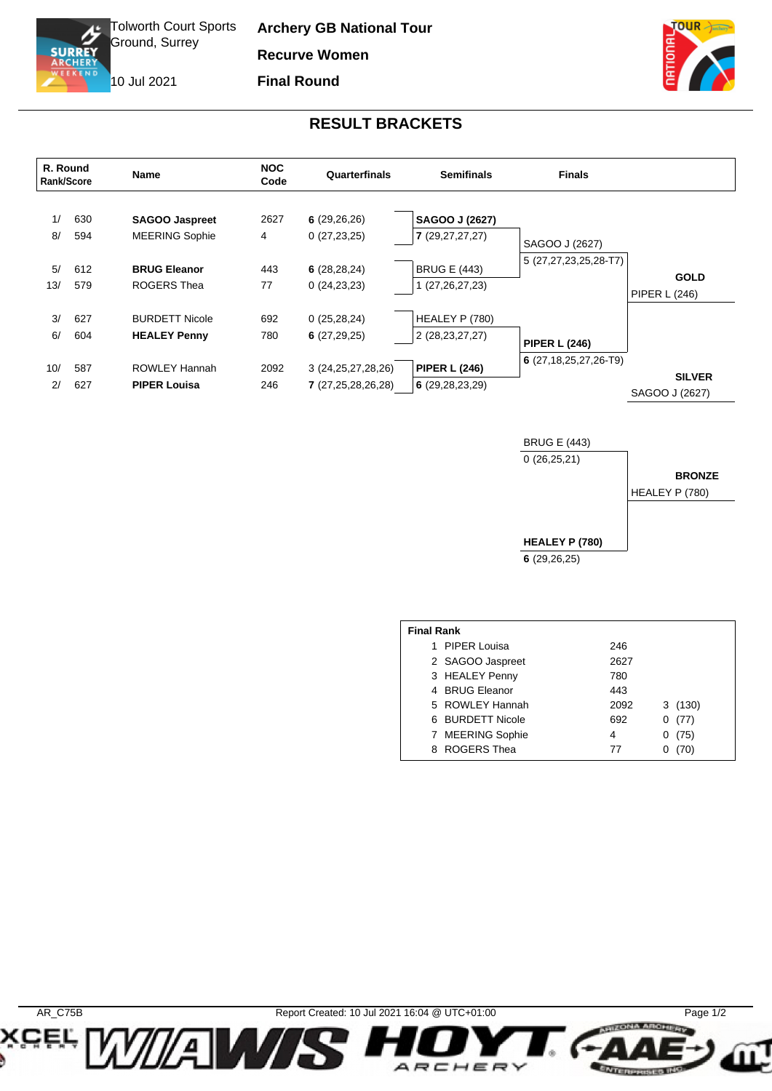Tolworth Court Sports Ground, Surrey

**Archery GB National Tour Recurve Women**

**Final Round**

10 Jul 2021

Œ.

**SURREY** 

TOUR

**BRONZE**

## **RESULT BRACKETS**

|           | R. Round<br>Rank/Score | <b>Name</b>                                    | <b>NOC</b><br>Code | Quarterfinals                                | <b>Semifinals</b>                         | <b>Finals</b>                |                                     |
|-----------|------------------------|------------------------------------------------|--------------------|----------------------------------------------|-------------------------------------------|------------------------------|-------------------------------------|
| 1/<br>8/  | 630<br>594             | <b>SAGOO Jaspreet</b><br><b>MEERING Sophie</b> | 2627<br>4          | 6(29,26,26)<br>0(27,23,25)                   | SAGOO J (2627)<br>7(29,27,27,27)          | SAGOO J (2627)               |                                     |
| 5/<br>13/ | 612<br>579             | <b>BRUG Eleanor</b><br>ROGERS Thea             | 443<br>77          | 6(28, 28, 24)<br>0(24,23,23)                 | <b>BRUG E (443)</b><br>1 (27, 26, 27, 23) | 5 (27,27,23,25,28-T7)        | <b>GOLD</b><br><b>PIPER L (246)</b> |
| 3/<br>6/  | 627<br>604             | <b>BURDETT Nicole</b><br><b>HEALEY Penny</b>   | 692<br>780         | 0(25, 28, 24)<br>6(27,29,25)                 | HEALEY P (780)<br>2 (28, 23, 27, 27)      | <b>PIPER L (246)</b>         |                                     |
| 10/<br>2/ | 587<br>627             | ROWLEY Hannah<br><b>PIPER Louisa</b>           | 2092<br>246        | 3 (24, 25, 27, 28, 26)<br>7 (27,25,28,26,28) | <b>PIPER L (246)</b><br>6(29, 28, 23, 29) | $6(27, 18, 25, 27, 26 - T9)$ | <b>SILVER</b><br>SAGOO J (2627)     |

BRUG E (443) 0 (26,25,21) **HEALEY P (780) 6** (29,26,25) HEALEY P (780)

| <b>Final Rank</b> |                  |      |           |  |  |  |  |
|-------------------|------------------|------|-----------|--|--|--|--|
|                   | 1 PIPER Louisa   | 246  |           |  |  |  |  |
|                   | 2 SAGOO Jaspreet | 2627 |           |  |  |  |  |
|                   | 3 HEALEY Penny   | 780  |           |  |  |  |  |
|                   | 4 BRUG Eleanor   | 443  |           |  |  |  |  |
|                   | 5 ROWLEY Hannah  | 2092 | 3(130)    |  |  |  |  |
|                   | 6 BURDETT Nicole | 692  | (77)<br>0 |  |  |  |  |
|                   | 7 MEERING Sophie | 4    | (75)      |  |  |  |  |
|                   | 8 ROGERS Thea    | 77   |           |  |  |  |  |